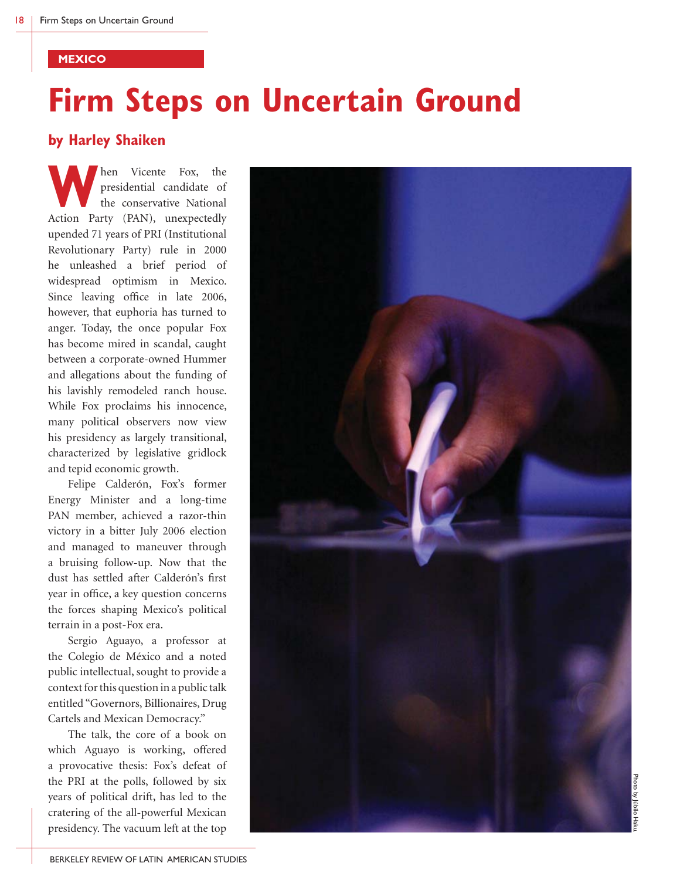#### **MEXICO**

# **Firm Steps on Uncertain Ground**

### **by Harley Shaiken**

**W**hen Vicente Fox, the presidential candidate of the conservative National Action Party (PAN), unexpectedly presidential candidate of the conservative National upended 71 years of PRI (Institutional Revolutionary Party) rule in 2000 he unleashed a brief period of widespread optimism in Mexico. Since leaving office in late 2006, however, that euphoria has turned to anger. Today, the once popular Fox has become mired in scandal, caught between a corporate-owned Hummer and allegations about the funding of his lavishly remodeled ranch house. While Fox proclaims his innocence, many political observers now view his presidency as largely transitional, characterized by legislative gridlock and tepid economic growth.

 Felipe Calderón, Fox's former Energy Minister and a long-time PAN member, achieved a razor-thin victory in a bitter July 2006 election and managed to maneuver through a bruising follow-up. Now that the dust has settled after Calderón's first year in office, a key question concerns the forces shaping Mexico's political terrain in a post-Fox era.

 Sergio Aguayo, a professor at the Colegio de México and a noted public intellectual, sought to provide a context for this question in a public talk entitled "Governors, Billionaires, Drug Cartels and Mexican Democracy."

 The talk, the core of a book on which Aguayo is working, offered a provocative thesis: Fox's defeat of the PRI at the polls, followed by six years of political drift, has led to the cratering of the all-powerful Mexican presidency. The vacuum left at the top

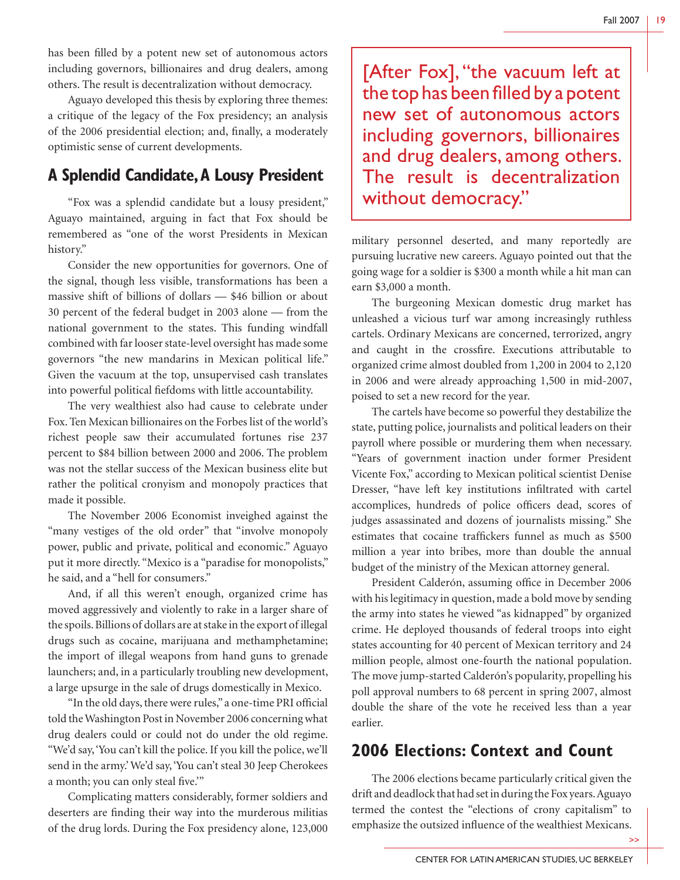has been filled by a potent new set of autonomous actors including governors, billionaires and drug dealers, among others. The result is decentralization without democracy.

 Aguayo developed this thesis by exploring three themes: a critique of the legacy of the Fox presidency; an analysis of the 2006 presidential election; and, finally, a moderately optimistic sense of current developments.

# **A Splendid Candidate, A Lousy President**

 "Fox was a splendid candidate but a lousy president," Aguayo maintained, arguing in fact that Fox should be remembered as "one of the worst Presidents in Mexican history."

 Consider the new opportunities for governors. One of the signal, though less visible, transformations has been a massive shift of billions of dollars — \$46 billion or about 30 percent of the federal budget in 2003 alone — from the national government to the states. This funding windfall combined with far looser state-level oversight has made some governors "the new mandarins in Mexican political life." Given the vacuum at the top, unsupervised cash translates into powerful political fiefdoms with little accountability.

 The very wealthiest also had cause to celebrate under Fox. Ten Mexican billionaires on the Forbes list of the world's richest people saw their accumulated fortunes rise 237 percent to \$84 billion between 2000 and 2006. The problem was not the stellar success of the Mexican business elite but rather the political cronyism and monopoly practices that made it possible.

 The November 2006 Economist inveighed against the "many vestiges of the old order" that "involve monopoly power, public and private, political and economic." Aguayo put it more directly. "Mexico is a "paradise for monopolists," he said, and a "hell for consumers."

 And, if all this weren't enough, organized crime has moved aggressively and violently to rake in a larger share of the spoils. Billions of dollars are at stake in the export of illegal drugs such as cocaine, marijuana and methamphetamine; the import of illegal weapons from hand guns to grenade launchers; and, in a particularly troubling new development, a large upsurge in the sale of drugs domestically in Mexico.

"In the old days, there were rules," a one-time PRI official told the Washington Post in November 2006 concerning what drug dealers could or could not do under the old regime. "We'd say, 'You can't kill the police. If you kill the police, we'll send in the army.' We'd say, 'You can't steal 30 Jeep Cherokees a month; you can only steal five.""

 Complicating matters considerably, former soldiers and deserters are finding their way into the murderous militias of the drug lords. During the Fox presidency alone, 123,000

[After Fox], "the vacuum left at the top has been filled by a potent new set of autonomous actors including governors, billionaires and drug dealers, among others. The result is decentralization without democracy."

military personnel deserted, and many reportedly are pursuing lucrative new careers. Aguayo pointed out that the going wage for a soldier is \$300 a month while a hit man can earn \$3,000 a month.

 The burgeoning Mexican domestic drug market has unleashed a vicious turf war among increasingly ruthless cartels. Ordinary Mexicans are concerned, terrorized, angry and caught in the crossfire. Executions attributable to organized crime almost doubled from 1,200 in 2004 to 2,120 in 2006 and were already approaching 1,500 in mid-2007, poised to set a new record for the year.

 The cartels have become so powerful they destabilize the state, putting police, journalists and political leaders on their payroll where possible or murdering them when necessary. "Years of government inaction under former President Vicente Fox," according to Mexican political scientist Denise Dresser, "have left key institutions infiltrated with cartel accomplices, hundreds of police officers dead, scores of judges assassinated and dozens of journalists missing." She estimates that cocaine traffickers funnel as much as \$500 million a year into bribes, more than double the annual budget of the ministry of the Mexican attorney general.

President Calderón, assuming office in December 2006 with his legitimacy in question, made a bold move by sending the army into states he viewed "as kidnapped" by organized crime. He deployed thousands of federal troops into eight states accounting for 40 percent of Mexican territory and 24 million people, almost one-fourth the national population. The move jump-started Calderón's popularity, propelling his poll approval numbers to 68 percent in spring 2007, almost double the share of the vote he received less than a year earlier.

# **2006 Elections: Context and Count**

 The 2006 elections became particularly critical given the drift and deadlock that had set in during the Fox years. Aguayo termed the contest the "elections of crony capitalism" to emphasize the outsized influence of the wealthiest Mexicans.

>>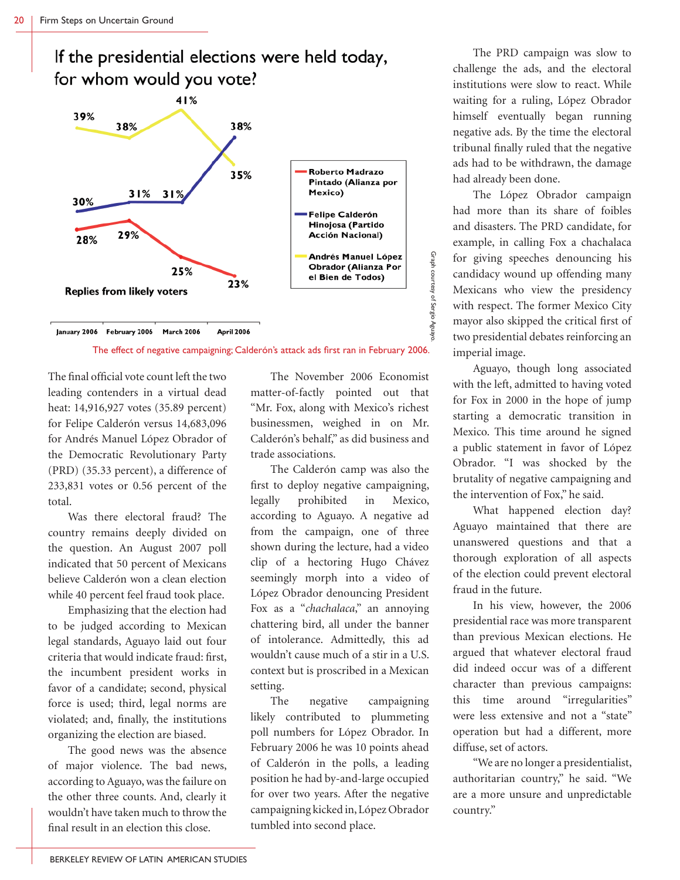





The final official vote count left the two leading contenders in a virtual dead heat: 14,916,927 votes (35.89 percent) for Felipe Calderón versus 14,683,096 for Andrés Manuel López Obrador of the Democratic Revolutionary Party (PRD) (35.33 percent), a difference of 233,831 votes or 0.56 percent of the total.

 Was there electoral fraud? The country remains deeply divided on the question. An August 2007 poll indicated that 50 percent of Mexicans believe Calderón won a clean election while 40 percent feel fraud took place.

 Emphasizing that the election had to be judged according to Mexican legal standards, Aguayo laid out four criteria that would indicate fraud: first, the incumbent president works in favor of a candidate; second, physical force is used; third, legal norms are violated; and, finally, the institutions organizing the election are biased.

 The good news was the absence of major violence. The bad news, according to Aguayo, was the failure on the other three counts. And, clearly it wouldn't have taken much to throw the final result in an election this close.

 The November 2006 Economist matter-of-factly pointed out that "Mr. Fox, along with Mexico's richest businessmen, weighed in on Mr. Calderón's behalf," as did business and trade associations.

 The Calderón camp was also the first to deploy negative campaigning, legally prohibited in Mexico, according to Aguayo. A negative ad from the campaign, one of three shown during the lecture, had a video clip of a hectoring Hugo Chávez seemingly morph into a video of López Obrador denouncing President Fox as a "*chachalaca*," an annoying chattering bird, all under the banner of intolerance. Admittedly, this ad wouldn't cause much of a stir in a U.S. context but is proscribed in a Mexican setting.

 The negative campaigning likely contributed to plummeting poll numbers for López Obrador. In February 2006 he was 10 points ahead of Calderón in the polls, a leading position he had by-and-large occupied for over two years. After the negative campaigning kicked in, López Obrador tumbled into second place.

 The PRD campaign was slow to challenge the ads, and the electoral institutions were slow to react. While waiting for a ruling, López Obrador himself eventually began running negative ads. By the time the electoral tribunal finally ruled that the negative ads had to be withdrawn, the damage had already been done.

 The López Obrador campaign had more than its share of foibles and disasters. The PRD candidate, for example, in calling Fox a chachalaca for giving speeches denouncing his candidacy wound up offending many Mexicans who view the presidency with respect. The former Mexico City mayor also skipped the critical first of two presidential debates reinforcing an imperial image.

 Aguayo, though long associated with the left, admitted to having voted for Fox in 2000 in the hope of jump starting a democratic transition in Mexico. This time around he signed a public statement in favor of López Obrador. "I was shocked by the brutality of negative campaigning and the intervention of Fox," he said.

 What happened election day? Aguayo maintained that there are unanswered questions and that a thorough exploration of all aspects of the election could prevent electoral fraud in the future.

 In his view, however, the 2006 presidential race was more transparent than previous Mexican elections. He argued that whatever electoral fraud did indeed occur was of a different character than previous campaigns: this time around "irregularities" were less extensive and not a "state" operation but had a different, more diffuse, set of actors.

 "We are no longer a presidentialist, authoritarian country," he said. "We are a more unsure and unpredictable country."